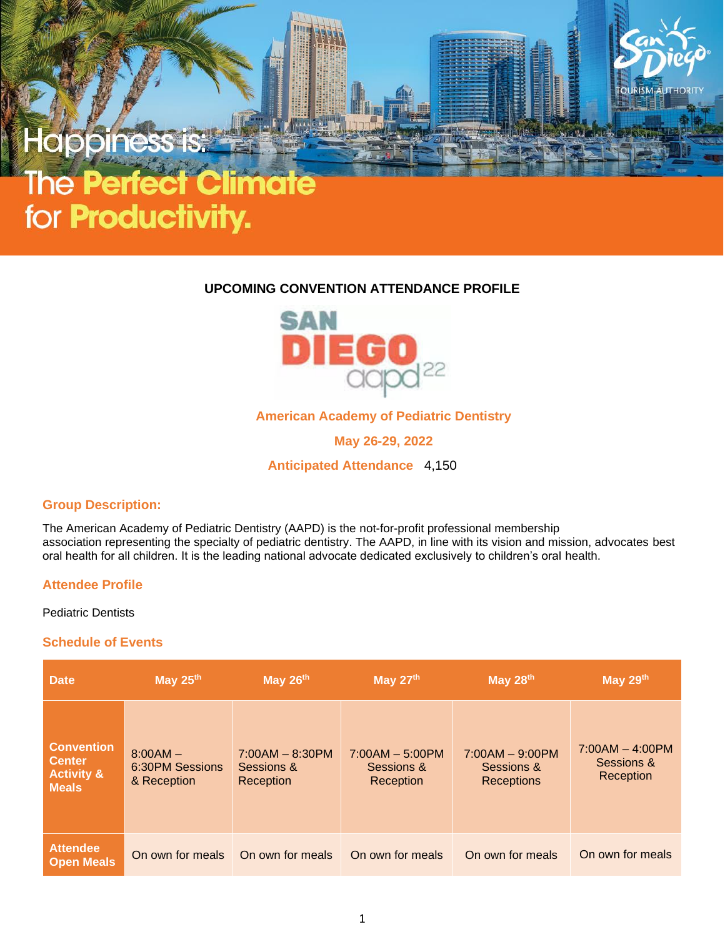# appines

# The **erfect Cl**  $\bullet$  1 for **Productivity.**

# **UPCOMING CONVENTION ATTENDANCE PROFILE**



**American Academy of Pediatric Dentistry**

**May 26-29, 2022**

**Anticipated Attendance** 4,150

## **Group Description:**

The American Academy of Pediatric Dentistry (AAPD) is the not-for-profit professional membership association representing the specialty of pediatric dentistry. The AAPD, in line with its vision and mission, advocates best oral health for all children. It is the leading national advocate dedicated exclusively to children's oral health.

## **Attendee Profile**

Pediatric Dentists

#### **Schedule of Events**

| <b>Date</b>                                                                 | May 25th                                     | May 26th                                     | May 27th                                     | May 28th                                             | May 29th                                     |
|-----------------------------------------------------------------------------|----------------------------------------------|----------------------------------------------|----------------------------------------------|------------------------------------------------------|----------------------------------------------|
| <b>Convention</b><br><b>Center</b><br><b>Activity &amp;</b><br><b>Meals</b> | $8:00AM -$<br>6:30PM Sessions<br>& Reception | $7:00AM - 8:30PM$<br>Sessions &<br>Reception | $7:00AM - 5:00PM$<br>Sessions &<br>Reception | $7:00AM - 9:00PM$<br>Sessions &<br><b>Receptions</b> | $7:00AM - 4:00PM$<br>Sessions &<br>Reception |
| <b>Attendee</b><br><b>Open Meals</b>                                        | On own for meals                             | On own for meals                             | On own for meals                             | On own for meals                                     | On own for meals                             |